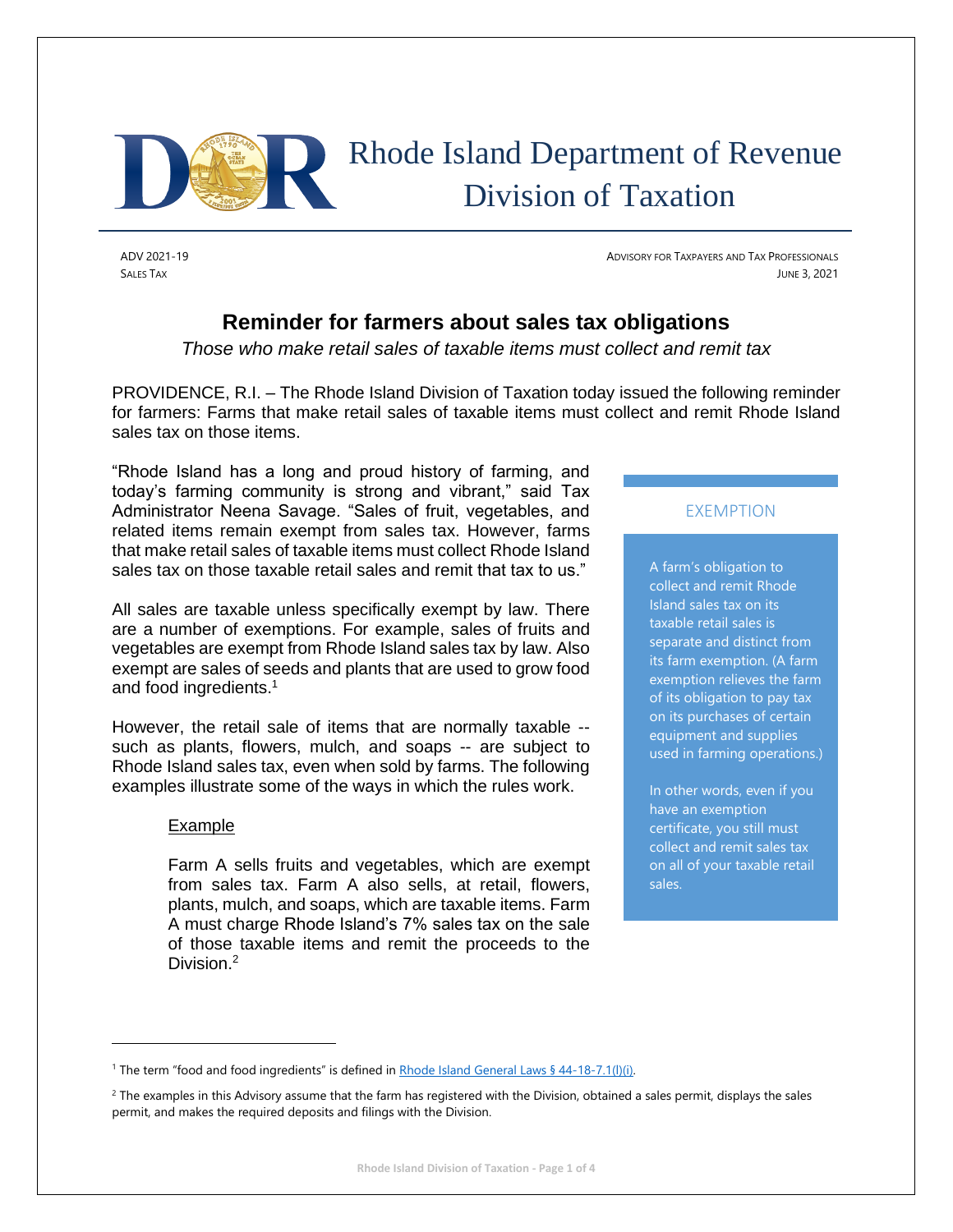

ADV 2021-19 ADVISORY FOR TAXPAYERS AND TAX PROFESSIONALS SALES TAX JUNE 3, 2021

# **Reminder for farmers about sales tax obligations**

*Those who make retail sales of taxable items must collect and remit tax*

PROVIDENCE, R.I. – The Rhode Island Division of Taxation today issued the following reminder for farmers: Farms that make retail sales of taxable items must collect and remit Rhode Island sales tax on those items.

"Rhode Island has a long and proud history of farming, and today's farming community is strong and vibrant," said Tax Administrator Neena Savage. "Sales of fruit, vegetables, and related items remain exempt from sales tax. However, farms that make retail sales of taxable items must collect Rhode Island sales tax on those taxable retail sales and remit that tax to us."

All sales are taxable unless specifically exempt by law. There are a number of exemptions. For example, sales of fruits and vegetables are exempt from Rhode Island sales tax by law. Also exempt are sales of seeds and plants that are used to grow food and food ingredients. 1

However, the retail sale of items that are normally taxable - such as plants, flowers, mulch, and soaps -- are subject to Rhode Island sales tax, even when sold by farms. The following examples illustrate some of the ways in which the rules work.

## Example

Farm A sells fruits and vegetables, which are exempt from sales tax. Farm A also sells, at retail, flowers, plants, mulch, and soaps, which are taxable items. Farm A must charge Rhode Island's 7% sales tax on the sale of those taxable items and remit the proceeds to the Division.<sup>2</sup>

## EXEMPTION

A farm's obligation to collect and remit Rhode Island sales tax on its taxable retail sales is separate and distinct from its farm exemption. (A farm exemption relieves the farm of its obligation to pay tax on its purchases of certain equipment and supplies used in farming operations.)

In other words, even if you have an exemption certificate, you still must collect and remit sales tax on all of your taxable retail sales.

<sup>&</sup>lt;sup>1</sup> The term "food and food ingredients" is defined in [Rhode Island General Laws § 44-18-7.1\(l\)\(i\).](http://webserver.rilegislature.gov/Statutes/TITLE44/44-18/44-18-7.1.HTM)

 $2$  The examples in this Advisory assume that the farm has registered with the Division, obtained a sales permit, displays the sales permit, and makes the required deposits and filings with the Division.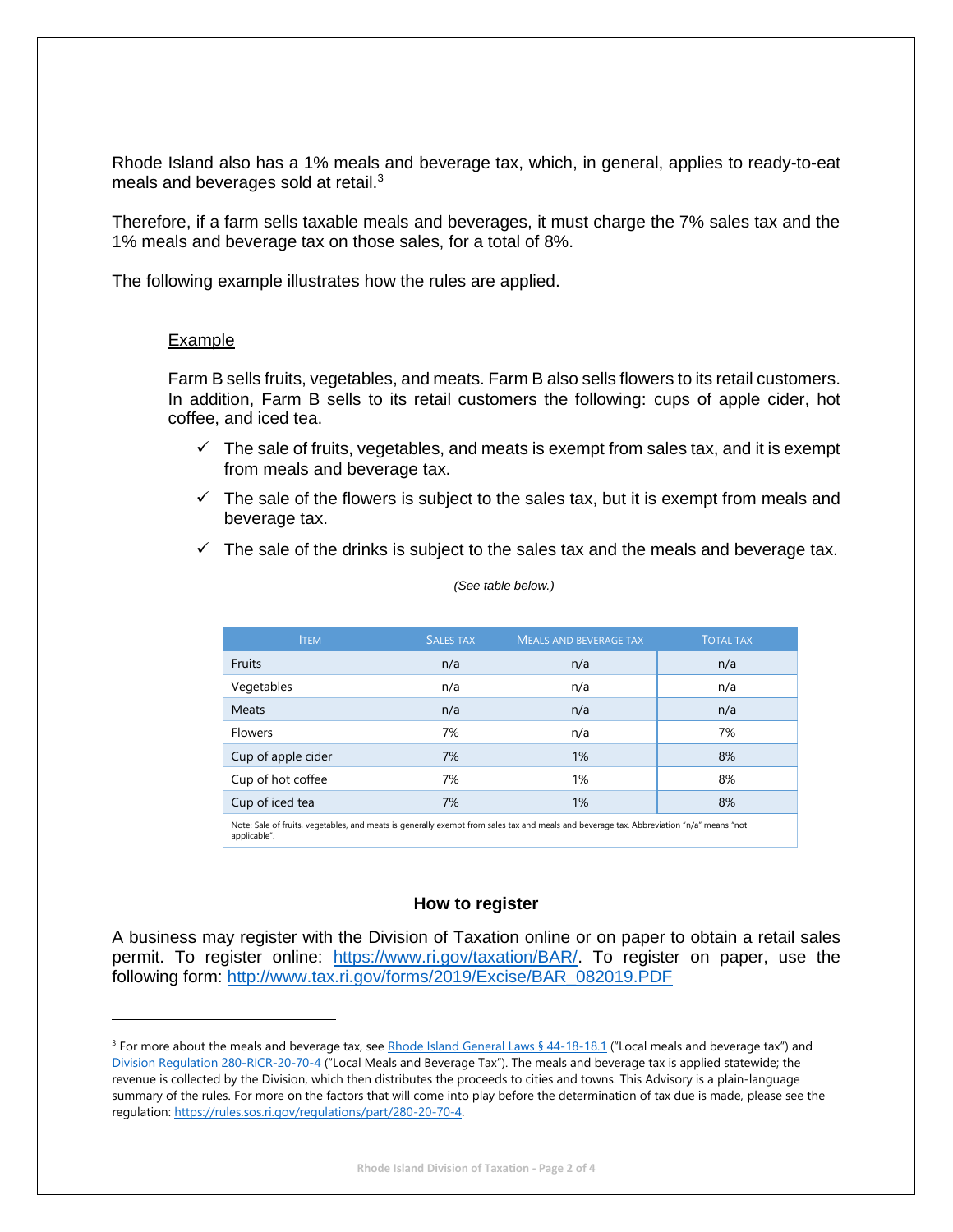Rhode Island also has a 1% meals and beverage tax, which, in general, applies to ready-to-eat meals and beverages sold at retail.<sup>3</sup>

Therefore, if a farm sells taxable meals and beverages, it must charge the 7% sales tax and the 1% meals and beverage tax on those sales, for a total of 8%.

The following example illustrates how the rules are applied.

#### Example

Farm B sells fruits, vegetables, and meats. Farm B also sells flowers to its retail customers. In addition, Farm B sells to its retail customers the following: cups of apple cider, hot coffee, and iced tea.

- $\checkmark$  The sale of fruits, vegetables, and meats is exempt from sales tax, and it is exempt from meals and beverage tax.
- $\checkmark$  The sale of the flowers is subject to the sales tax, but it is exempt from meals and beverage tax.
- $\checkmark$  The sale of the drinks is subject to the sales tax and the meals and beverage tax.

| <b>ITEM</b>                                                                                                                                              | <b>SALES TAX</b> | <b>MEALS AND BEVERAGE TAX</b> | <b>TOTAL TAX</b> |
|----------------------------------------------------------------------------------------------------------------------------------------------------------|------------------|-------------------------------|------------------|
| Fruits                                                                                                                                                   | n/a              | n/a                           | n/a              |
| Vegetables                                                                                                                                               | n/a              | n/a                           | n/a              |
| Meats                                                                                                                                                    | n/a              | n/a                           | n/a              |
| <b>Flowers</b>                                                                                                                                           | 7%               | n/a                           | 7%               |
| Cup of apple cider                                                                                                                                       | 7%               | 1%                            | 8%               |
| Cup of hot coffee                                                                                                                                        | 7%               | 1%                            | 8%               |
| Cup of iced tea                                                                                                                                          | 7%               | 1%                            | 8%               |
| Note: Sale of fruits, vegetables, and meats is generally exempt from sales tax and meals and beverage tax. Abbreviation "n/a" means "not<br>applicable". |                  |                               |                  |

#### *(See table below.)*

#### **How to register**

A business may register with the Division of Taxation online or on paper to obtain a retail sales permit. To register online: [https://www.ri.gov/taxation/BAR/.](https://www.ri.gov/taxation/BAR/) To register on paper, use the following form: [http://www.tax.ri.gov/forms/2019/Excise/BAR\\_082019.PDF](http://www.tax.ri.gov/forms/2019/Excise/BAR_082019.PDF)

<sup>&</sup>lt;sup>3</sup> For more about the meals and beverage tax, se[e Rhode Island General Laws § 44-18-18.1](http://webserver.rilegislature.gov/Statutes/TITLE44/44-18/44-18-18.1.HTM) ("Local meals and beverage tax") and [Division Regulation 280-RICR-20-70-4](https://rules.sos.ri.gov/regulations/part/280-20-70-4) ("Local Meals and Beverage Tax"). The meals and beverage tax is applied statewide; the revenue is collected by the Division, which then distributes the proceeds to cities and towns. This Advisory is a plain-language summary of the rules. For more on the factors that will come into play before the determination of tax due is made, please see the regulation: [https://rules.sos.ri.gov/regulations/part/280-20-70-4.](https://rules.sos.ri.gov/regulations/part/280-20-70-4)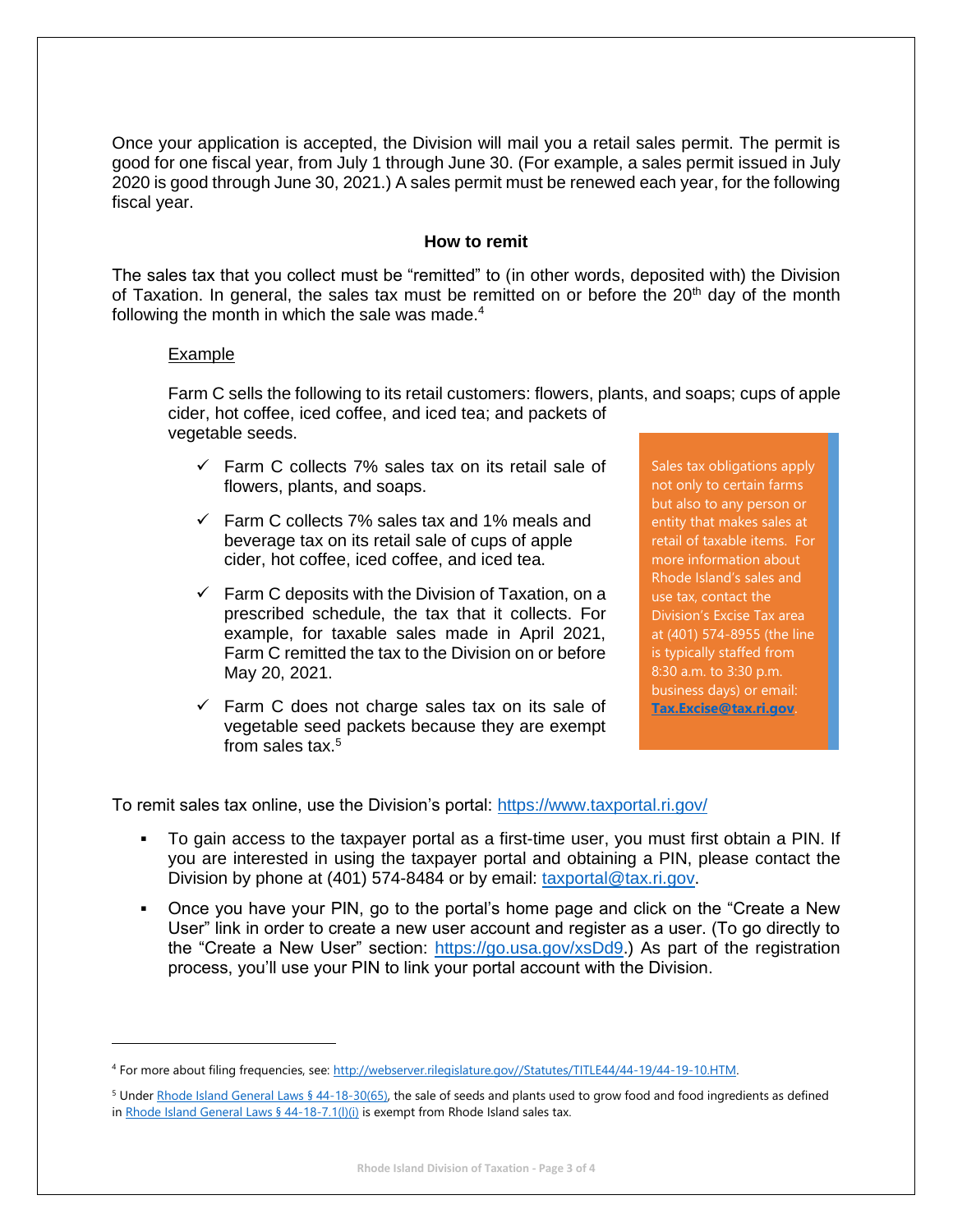Once your application is accepted, the Division will mail you a retail sales permit. The permit is good for one fiscal year, from July 1 through June 30. (For example, a sales permit issued in July 2020 is good through June 30, 2021.) A sales permit must be renewed each year, for the following fiscal year.

## **How to remit**

The sales tax that you collect must be "remitted" to (in other words, deposited with) the Division of Taxation. In general, the sales tax must be remitted on or before the  $20<sup>th</sup>$  day of the month following the month in which the sale was made. $4$ 

#### Example

Farm C sells the following to its retail customers: flowers, plants, and soaps; cups of apple cider, hot coffee, iced coffee, and iced tea; and packets of vegetable seeds.

- $\checkmark$  Farm C collects 7% sales tax on its retail sale of flowers, plants, and soaps.
- $\checkmark$  Farm C collects 7% sales tax and 1% meals and beverage tax on its retail sale of cups of apple cider, hot coffee, iced coffee, and iced tea.
- $\checkmark$  Farm C deposits with the Division of Taxation, on a prescribed schedule, the tax that it collects. For example, for taxable sales made in April 2021, Farm C remitted the tax to the Division on or before May 20, 2021.
- $\checkmark$  Farm C does not charge sales tax on its sale of vegetable seed packets because they are exempt from sales tax.<sup>5</sup>

Sales tax obligations apply not only to certain farms but also to any person or entity that makes sales at retail of taxable items. For more information about Rhode Island's sales and use tax, contact the Division's Excise Tax area at (401) 574-8955 (the line is typically staffed from 8:30 a.m. to 3:30 p.m. business days) or email: **[Tax.Excise@tax.ri.gov](mailto:Tax.Excise@tax.ri.gov)**.

To remit sales tax online, use the Division's portal:<https://www.taxportal.ri.gov/>

- To gain access to the taxpayer portal as a first-time user, you must first obtain a PIN. If you are interested in using the taxpayer portal and obtaining a PIN, please contact the Division by phone at (401) 574-8484 or by email: [taxportal@tax.ri.gov.](mailto:taxportal@tax.ri.gov)
- Once you have your PIN, go to the portal's home page and click on the "Create a New User" link in order to create a new user account and register as a user. (To go directly to the "Create a New User" section: [https://go.usa.gov/xsDd9.](https://go.usa.gov/xsDd9)) As part of the registration process, you'll use your PIN to link your portal account with the Division.

<sup>4</sup> For more about filing frequencies, see[: http://webserver.rilegislature.gov//Statutes/TITLE44/44-19/44-19-10.HTM.](http://webserver.rilegislature.gov/Statutes/TITLE44/44-19/44-19-10.HTM)

<sup>&</sup>lt;sup>5</sup> Under [Rhode Island General Laws § 44-18-30\(65\),](http://webserver.rilegislature.gov/Statutes/TITLE44/44-18/44-18-30.HTM) the sale of seeds and plants used to grow food and food ingredients as defined i[n Rhode Island General Laws § 44-18-7.1\(l\)\(i\)](http://webserver.rilegislature.gov/Statutes/TITLE44/44-18/44-18-7.1.HTM) is exempt from Rhode Island sales tax.